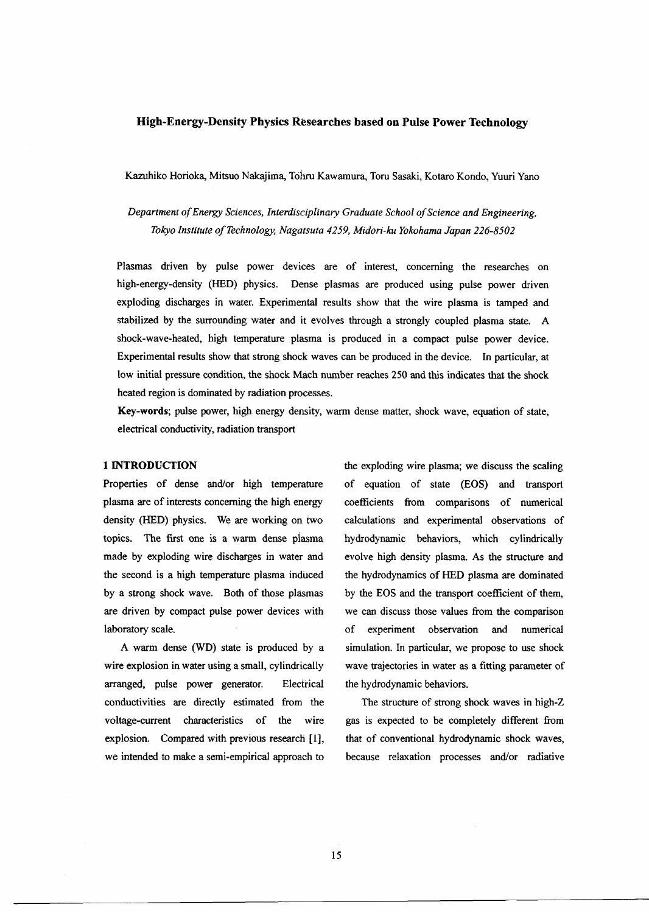# **High-Energy-Density Physics Researches based on Pulse Power Technology**

Kazuhiko Horioka, Mitsuo Nakajima, Tohru Kawamura, Toru Sasaki, Kotaro Kondo, Yuuri Yano

*Department of Energy Sciences, Interdisciplinary Graduate School of Science and Engineering, Tokyo Institute of Technology, Nagatsuta 4259, Midori-ku Yokohama Japan 226-8502* 

Plasmas driven by pulse power devices are of interest, concerning the researches on high-energy-density (HED) physics. Dense plasmas are produced using pulse power driven exploding discharges in water. Experimental results show that the wire plasma is tamped and stabilized by the surrounding water and it evolves through a strongly coupled plasma state. A shock-wave-heated, high temperature plasma is produced in a compact pulse power device. Experimental results show that strong shock waves can be produced in the device. In particular, at low initial pressure condition, the shock Mach number reaches 250 and this indicates that the shock heated region is dominated by radiation processes.

**Key-words;** pulse power, high energy density, warm dense matter, shock wave, equation of state, electrical conductivity, radiation transport

## **1 INTRODUCTION**

Properties of dense and/or high temperature plasma are of interests concerning the high energy density (HED) physics. We are working on two topics. The first one is a warm dense piasma made by exploding wire discharges in water and the second is a high temperature plasma induced by a strong shock wave. Both of those plasmas are driven by compact pulse power devices with laboratory scale.

A warm dense (WD) state is produced by a wire explosion in water using a small, cylindrically arranged, pulse power generator. Electrical conductivities are directly estimated from the voltage-current characteristics of the wire explosion. Compared with previous research [1], we intended to make a semi-empirical approach to

the exploding wire plasma; we discuss the scaling of equation of state (EOS) and transport coefficients from comparisons of numerical calculations and experimental observations of hydrodynamic behaviors, which cylindrically evolve high density plasma. As the structure and the hydrodynamics of HED plasma are dominated by the EOS and the transport coefficient of them, we can discuss those values from the comparison of experiment observation and numerical simulation. In particular, we propose to use shock wave trajectories in water as a fitting parameter of the hydrodynamic behaviors.

The structure of strong shock waves in high-Z gas is expected to be completely different from that of conventional hydrodynamic shock waves, because relaxation processes and/or radiative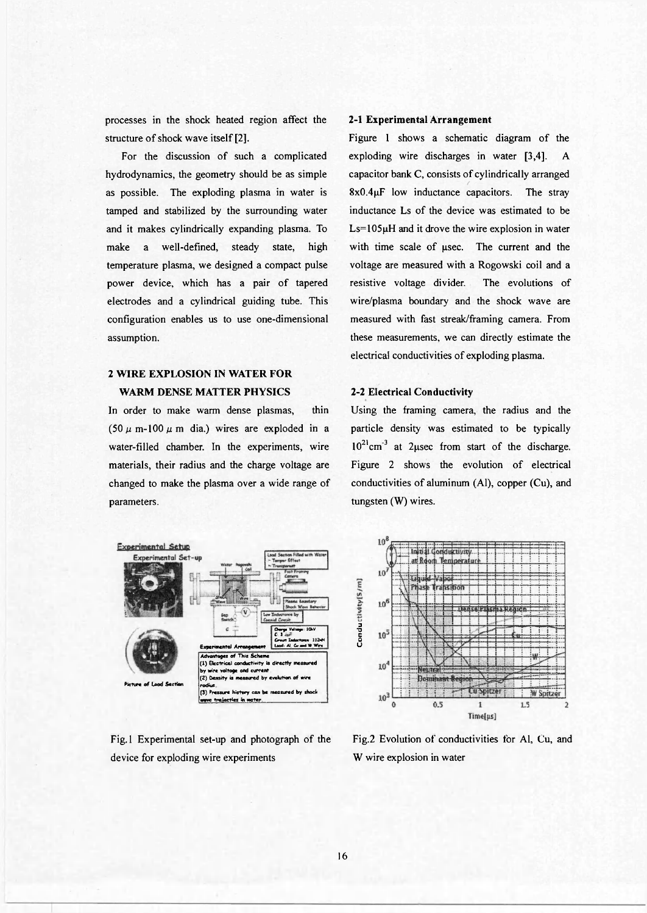processes in the shock heated region affect the structure of shock wave itself [2],

For the discussion of such a complicated hydrodynamics, the geometry should be as simple as possible. The exploding plasma in water is tamped and stabilized by the surrounding water and it makes cylindrically expanding plasma. To make a well-defined, steady state, high temperature plasma, we designed a compact pulse power device, which has a pair of tapered electrodes and a cylindrical guiding tube. This configuration enables us to use one-dimensional assumption.

# 2 WIRE EXPLOSION IN WATER FOR WARM DENSE MATTER PHYSICS

In order to make warm dense plasmas, thin (50  $\mu$  m-100  $\mu$  m dia.) wires are exploded in a water-filled chamber. In the experiments, wire materials, their radius and the charge voltage are changed to make the plasma over a wide range of parameters.



Fig.l Experimental set-up and photograph of the device for exploding wire experiments

# 2-1 Experimental Arrangement

Figure 1 shows a schematic diagram of the exploding wire discharges in water [3,4], A capacitor bank C, consists of cylindrically arranged  $8x0.4\mu$ F low inductance capacitors. The stray inductance Ls of the device was estimated to be  $Ls=105\mu H$  and it drove the wire explosion in water with time scale of usec. The current and the voltage are measured with a Rogowski coil and a resistive voltage divider. The evolutions of wire/plasma boundary and the shock wave are measured with fast streak/framing camera. From these measurements, we can directly estimate the electrical conductivities of exploding plasma.

### 2-2 Electrical Conductivity

Using the framing camera, the radius and the particle density was estimated to be typically  $10^{21}$ cm<sup>-3</sup> at 2µsec from start of the discharge. Figure 2 shows the evolution of electrical conductivities of aluminum (Al), copper (Cu), and tungsten (W) wires.



Fig.2 Evolution of conductivities for Al, Cu, and W wire explosion in water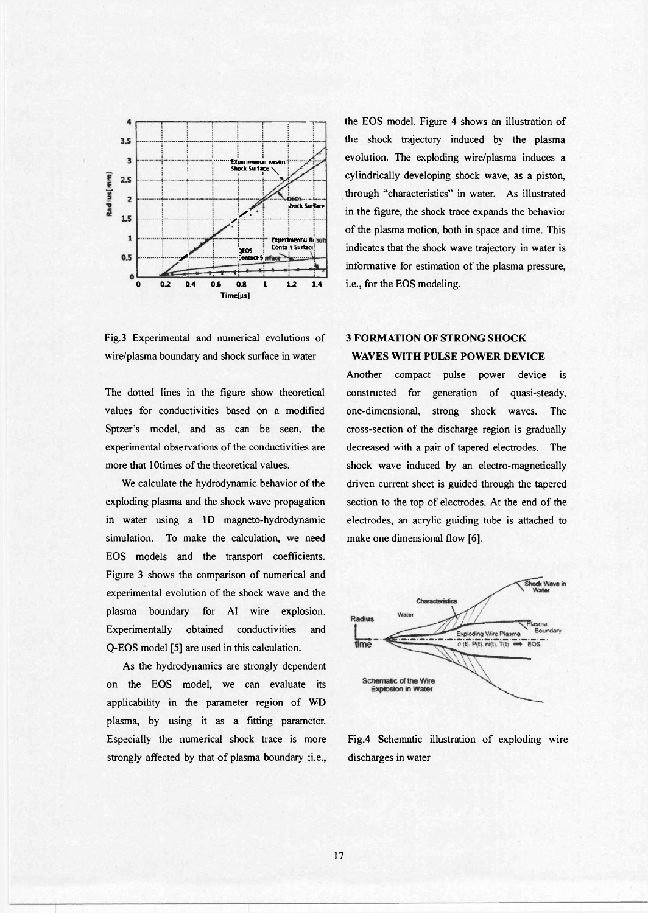

the EOS model. Figure 4 shows an illustration of the shock trajectory induced by the plasma evolution. The exploding wire/plasma induces a cylindrically developing shock wave, as a piston, through "characteristics" in water. As illustrated in the figure, the shock trace expands the behavior of the plasma motion, both in space and time. This indicates that the shock wave trajectory in water is informative for estimation of the plasma pressure, i.e., for the EOS modeling.

Fig.3 Experimental and numerical evolutions of wire/plasma boundary and shock surface in water

The dotted lines in the figure show theoretical values for conductivities based on a modified Sptzer's model, and as can be seen, the experimental observations of the conductivities are more that lOtimes of the theoretical values.

We calculate the hydrodynamic behavior of the exploding plasma and the shock wave propagation in water using a ID magneto-hydrodynamic simulation. To make the calculation, we need EOS models and the transport coefficients. Figure 3 shows the comparison of numerical and experimental evolution of the shock wave and the plasma boundary for A1 wire explosion. Experimentally obtained conductivities and Q-EOS model [5] are used in this calculation.

As the hydrodynamics are strongly dependent on the EOS model, we can evaluate its applicability in the parameter region of WD plasma, by using it as a fitting parameter. Especially the numerical shock trace is more strongly affected by that of plasma boundary ;i.e.,

# 3 FORMATION OF STRONG SHOCK WAVES WITH PULSE POWER DEVICE

Another compact pulse power device is constructed for generation of quasi-steady, one-dimensional, strong shock waves. The cross-section of the discharge region is gradually decreased with a pair of tapered electrodes. The shock wave induced by an electro-magnetically driven current sheet is guided through the tapered section to the top of electrodes. At the end of the electrodes, an acrylic guiding tube is attached to make one dimensional flow [6].



Fig.4 Schematic illustration of exploding wire discharges in water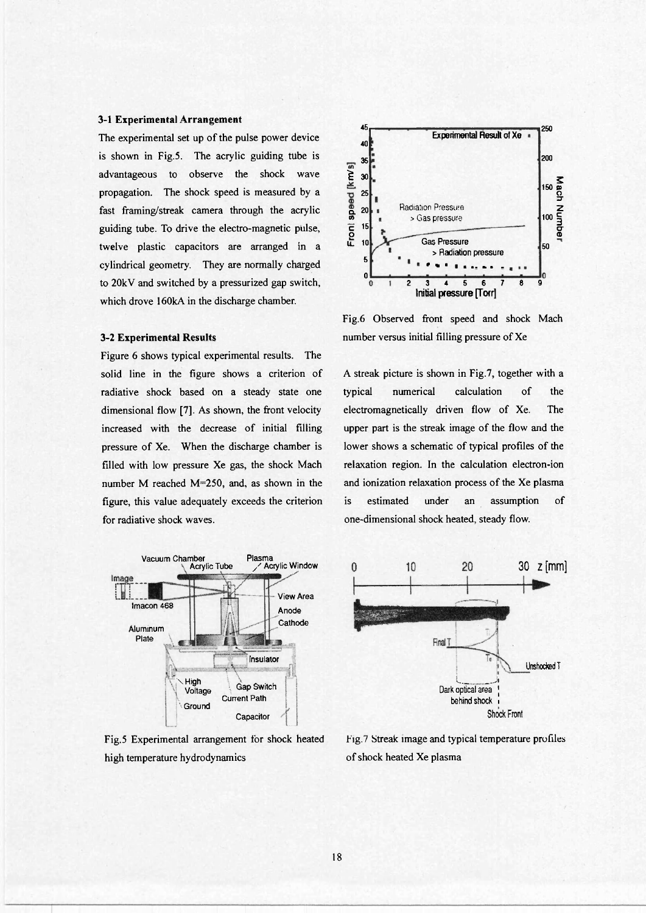#### 3-1 Experimental Arrangement

The experimental set up of the pulse power device is shown in Fig.5. The acrylic guiding tube is advantageous to observe the shock wave propagation. The shock speed is measured by a fast framing/streak camera through the acrylic guiding tube. To drive the electro-magnetic pulse, twelve plastic capacitors are arranged in a cylindrical geometry. They are normally charged to 20kV and switched by a pressurized gap switch, which drove 160kA in the discharge chamber.

# 3-2 Experimental Results

Figure 6 shows typical experimental results. The solid line in the figure shows a criterion of radiative shock based on a steady state one dimensional flow [7]. As shown, the front velocity increased with the decrease of initial filling pressure of Xe. When the discharge chamber is filled with low pressure Xe gas, the shock Mach number M reached M=250, and, as shown in the figure, this value adequately exceeds the criterion for radiative shock waves.



Fig.5 Experimental arrangement for shock heated high temperature hydrodynamics



Fig.6 Observed front speed and shock Mach number versus initial filling pressure of Xe

A streak picture is shown in Fig.7, together with a typical numerical calculation of the electromagnetically driven flow of Xe. The upper part is the streak image of the flow and the lower shows a schematic of typical profiles of the relaxation region. In the calculation electron-ion and ionization relaxation process of the Xe plasma is estimated under an assumption of one-dimensional shock heated, steady flow.



Fig.7 Streak image and typical temperature profiles of shock heated Xe plasma